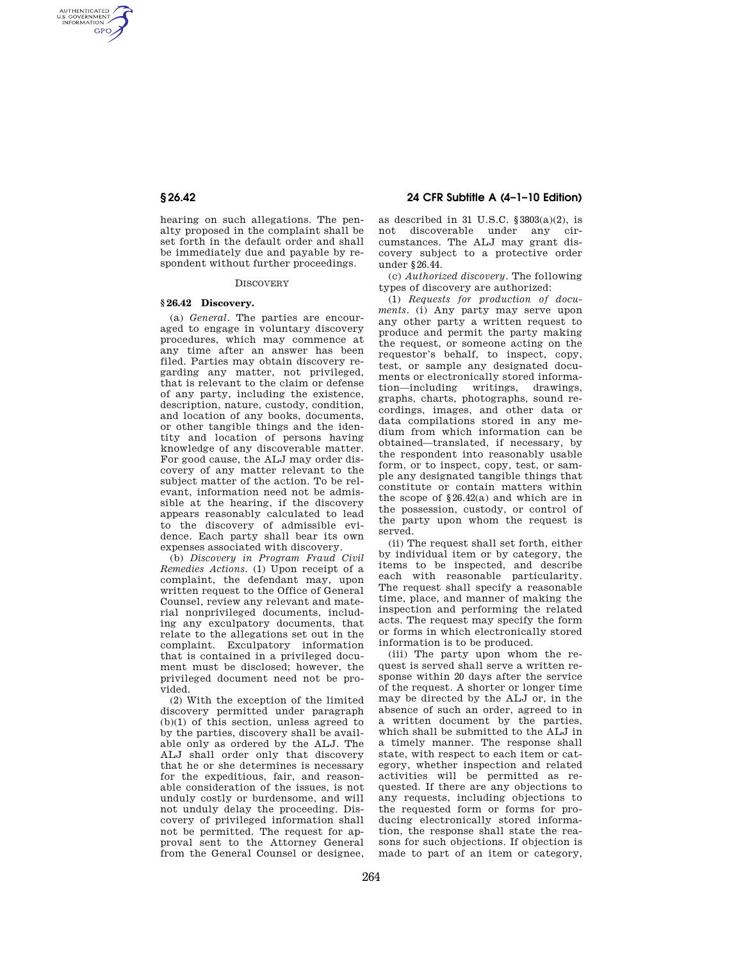AUTHENTICATED<br>U.S. GOVERNMENT<br>INFORMATION **GPO** 

> hearing on such allegations. The penalty proposed in the complaint shall be set forth in the default order and shall be immediately due and payable by respondent without further proceedings.

### **DISCOVERY**

## **§ 26.42 Discovery.**

(a) *General*. The parties are encouraged to engage in voluntary discovery procedures, which may commence at any time after an answer has been filed. Parties may obtain discovery regarding any matter, not privileged, that is relevant to the claim or defense of any party, including the existence, description, nature, custody, condition, and location of any books, documents, or other tangible things and the identity and location of persons having knowledge of any discoverable matter. For good cause, the ALJ may order discovery of any matter relevant to the subject matter of the action. To be relevant, information need not be admissible at the hearing, if the discovery appears reasonably calculated to lead to the discovery of admissible evidence. Each party shall bear its own expenses associated with discovery.

(b) *Discovery in Program Fraud Civil Remedies Actions*. (1) Upon receipt of a complaint, the defendant may, upon written request to the Office of General Counsel, review any relevant and material nonprivileged documents, including any exculpatory documents, that relate to the allegations set out in the complaint. Exculpatory information that is contained in a privileged document must be disclosed; however, the privileged document need not be provided.

(2) With the exception of the limited discovery permitted under paragraph  $(b)(1)$  of this section, unless agreed to by the parties, discovery shall be available only as ordered by the ALJ. The ALJ shall order only that discovery that he or she determines is necessary for the expeditious, fair, and reasonable consideration of the issues, is not unduly costly or burdensome, and will not unduly delay the proceeding. Discovery of privileged information shall not be permitted. The request for approval sent to the Attorney General .<br>from the General Counsel or designee.

# **§ 26.42 24 CFR Subtitle A (4–1–10 Edition)**

as described in 31 U.S.C. §3803(a)(2), is not discoverable under any circumstances. The ALJ may grant discovery subject to a protective order under §26.44.

(c) *Authorized discovery*. The following types of discovery are authorized:

(1) *Requests for production of documents*. (i) Any party may serve upon any other party a written request to produce and permit the party making the request, or someone acting on the requestor's behalf, to inspect, copy, test, or sample any designated documents or electronically stored information—including writings, drawings, graphs, charts, photographs, sound recordings, images, and other data or data compilations stored in any medium from which information can be obtained—translated, if necessary, by the respondent into reasonably usable form, or to inspect, copy, test, or sample any designated tangible things that constitute or contain matters within the scope of §26.42(a) and which are in the possession, custody, or control of the party upon whom the request is served.

(ii) The request shall set forth, either by individual item or by category, the items to be inspected, and describe each with reasonable particularity. The request shall specify a reasonable time, place, and manner of making the inspection and performing the related acts. The request may specify the form or forms in which electronically stored information is to be produced.

(iii) The party upon whom the request is served shall serve a written response within 20 days after the service of the request. A shorter or longer time may be directed by the ALJ or, in the absence of such an order, agreed to in a written document by the parties, which shall be submitted to the ALJ in a timely manner. The response shall state, with respect to each item or category, whether inspection and related activities will be permitted as requested. If there are any objections to any requests, including objections to the requested form or forms for producing electronically stored information, the response shall state the reasons for such objections. If objection is made to part of an item or category,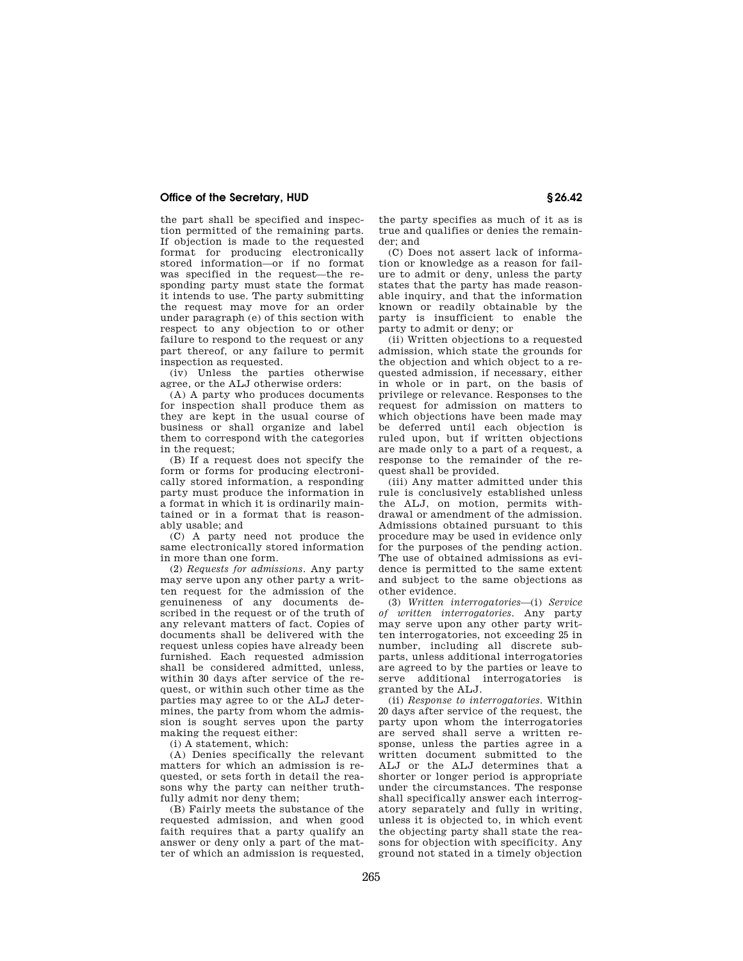# **Office of the Secretary, HUD § 26.42**

the part shall be specified and inspection permitted of the remaining parts. If objection is made to the requested format for producing electronically stored information—or if no format was specified in the request—the responding party must state the format it intends to use. The party submitting the request may move for an order under paragraph (e) of this section with respect to any objection to or other failure to respond to the request or any part thereof, or any failure to permit inspection as requested.

(iv) Unless the parties otherwise agree, or the ALJ otherwise orders:

(A) A party who produces documents for inspection shall produce them as they are kept in the usual course of business or shall organize and label them to correspond with the categories in the request;

(B) If a request does not specify the form or forms for producing electronically stored information, a responding party must produce the information in a format in which it is ordinarily maintained or in a format that is reasonably usable; and

(C) A party need not produce the same electronically stored information in more than one form.

(2) *Requests for admissions*. Any party may serve upon any other party a written request for the admission of the genuineness of any documents described in the request or of the truth of any relevant matters of fact. Copies of documents shall be delivered with the request unless copies have already been furnished. Each requested admission shall be considered admitted, unless, within 30 days after service of the request, or within such other time as the parties may agree to or the ALJ determines, the party from whom the admission is sought serves upon the party making the request either:

(i) A statement, which:

(A) Denies specifically the relevant matters for which an admission is requested, or sets forth in detail the reasons why the party can neither truthfully admit nor deny them:

(B) Fairly meets the substance of the requested admission, and when good faith requires that a party qualify an answer or deny only a part of the matter of which an admission is requested, the party specifies as much of it as is true and qualifies or denies the remainder; and

(C) Does not assert lack of information or knowledge as a reason for failure to admit or deny, unless the party states that the party has made reasonable inquiry, and that the information known or readily obtainable by the party is insufficient to enable the party to admit or deny; or

(ii) Written objections to a requested admission, which state the grounds for the objection and which object to a requested admission, if necessary, either in whole or in part, on the basis of privilege or relevance. Responses to the request for admission on matters to which objections have been made may be deferred until each objection is ruled upon, but if written objections are made only to a part of a request, a response to the remainder of the request shall be provided.

(iii) Any matter admitted under this rule is conclusively established unless the ALJ, on motion, permits withdrawal or amendment of the admission. Admissions obtained pursuant to this procedure may be used in evidence only for the purposes of the pending action. The use of obtained admissions as evidence is permitted to the same extent and subject to the same objections as other evidence.

(3) *Written interrogatories*—(i) *Service of written interrogatories*. Any party may serve upon any other party written interrogatories, not exceeding 25 in number, including all discrete subparts, unless additional interrogatories are agreed to by the parties or leave to serve additional interrogatories is granted by the ALJ.

(ii) *Response to interrogatories*. Within 20 days after service of the request, the party upon whom the interrogatories are served shall serve a written response, unless the parties agree in a written document submitted to the ALJ or the ALJ determines that a shorter or longer period is appropriate under the circumstances. The response shall specifically answer each interrogatory separately and fully in writing, unless it is objected to, in which event the objecting party shall state the reasons for objection with specificity. Any ground not stated in a timely objection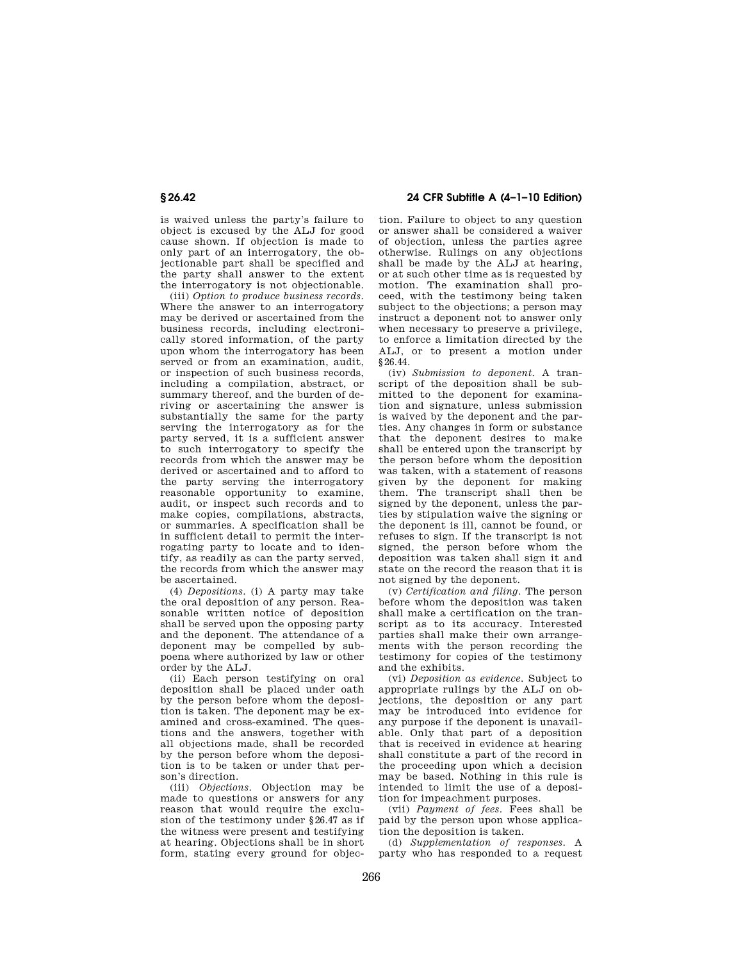is waived unless the party's failure to object is excused by the ALJ for good cause shown. If objection is made to only part of an interrogatory, the objectionable part shall be specified and the party shall answer to the extent the interrogatory is not objectionable.

(iii) *Option to produce business records*. Where the answer to an interrogatory may be derived or ascertained from the business records, including electronically stored information, of the party upon whom the interrogatory has been served or from an examination, audit, or inspection of such business records, including a compilation, abstract, or summary thereof, and the burden of deriving or ascertaining the answer is substantially the same for the party serving the interrogatory as for the party served, it is a sufficient answer to such interrogatory to specify the records from which the answer may be derived or ascertained and to afford to the party serving the interrogatory reasonable opportunity to examine, audit, or inspect such records and to make copies, compilations, abstracts, or summaries. A specification shall be in sufficient detail to permit the interrogating party to locate and to identify, as readily as can the party served, the records from which the answer may be ascertained.

(4) *Depositions*. (i) A party may take the oral deposition of any person. Reasonable written notice of deposition shall be served upon the opposing party and the deponent. The attendance of a deponent may be compelled by subpoena where authorized by law or other order by the ALJ.

(ii) Each person testifying on oral deposition shall be placed under oath by the person before whom the deposition is taken. The deponent may be examined and cross-examined. The questions and the answers, together with all objections made, shall be recorded by the person before whom the deposition is to be taken or under that person's direction.

(iii) *Objections*. Objection may be made to questions or answers for any reason that would require the exclusion of the testimony under §26.47 as if the witness were present and testifying at hearing. Objections shall be in short form, stating every ground for objec-

**§ 26.42 24 CFR Subtitle A (4–1–10 Edition)** 

tion. Failure to object to any question or answer shall be considered a waiver of objection, unless the parties agree otherwise. Rulings on any objections shall be made by the ALJ at hearing, or at such other time as is requested by motion. The examination shall proceed, with the testimony being taken subject to the objections; a person may instruct a deponent not to answer only when necessary to preserve a privilege, to enforce a limitation directed by the ALJ, or to present a motion under §26.44.

(iv) *Submission to deponent*. A transcript of the deposition shall be submitted to the deponent for examination and signature, unless submission is waived by the deponent and the parties. Any changes in form or substance that the deponent desires to make shall be entered upon the transcript by the person before whom the deposition was taken, with a statement of reasons given by the deponent for making them. The transcript shall then be signed by the deponent, unless the parties by stipulation waive the signing or the deponent is ill, cannot be found, or refuses to sign. If the transcript is not signed, the person before whom the deposition was taken shall sign it and state on the record the reason that it is not signed by the deponent.

(v) *Certification and filing*. The person before whom the deposition was taken shall make a certification on the transcript as to its accuracy. Interested parties shall make their own arrangements with the person recording the testimony for copies of the testimony and the exhibits.

(vi) *Deposition as evidence*. Subject to appropriate rulings by the ALJ on objections, the deposition or any part may be introduced into evidence for any purpose if the deponent is unavailable. Only that part of a deposition that is received in evidence at hearing shall constitute a part of the record in the proceeding upon which a decision may be based. Nothing in this rule is intended to limit the use of a deposition for impeachment purposes.

(vii) *Payment of fees*. Fees shall be paid by the person upon whose application the deposition is taken.

(d) *Supplementation of responses*. A party who has responded to a request